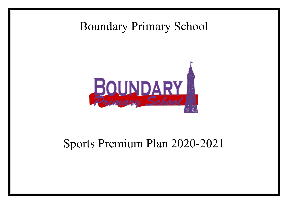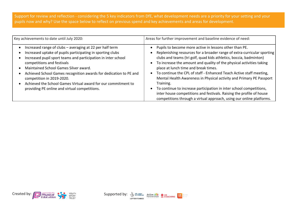Support for review and reflection - considering the 5 key indicators from DfE, what development needs are a priority for your setting and your pupils now and why? Use the space below to reflect on previous spend and key achievements and areas for development.

| Key achievements to date until July 2020:                                                                                                                                                                                                                                                                                                                                                                                                                                          | Areas for further improvement and baseline evidence of need:                                                                                                                                                                                                                                                                                                                                                                                                                                                                                                                                                                                                                                               |
|------------------------------------------------------------------------------------------------------------------------------------------------------------------------------------------------------------------------------------------------------------------------------------------------------------------------------------------------------------------------------------------------------------------------------------------------------------------------------------|------------------------------------------------------------------------------------------------------------------------------------------------------------------------------------------------------------------------------------------------------------------------------------------------------------------------------------------------------------------------------------------------------------------------------------------------------------------------------------------------------------------------------------------------------------------------------------------------------------------------------------------------------------------------------------------------------------|
| Increased range of clubs - averaging at 22 per half term<br>Increased uptake of pupils participating in sporting clubs<br>Increased pupil sport teams and participation in inter school<br>competitions and festivals<br>Maintained School Games Silver award.<br>Achieved School Games recognition awards for dedication to PE and<br>competition in 2019-2020.<br>Achieved the School Games Virtual award for our commitment to<br>providing PE online and virtual competitions. | Pupils to become more active in lessons other than PE.<br>Replenishing resources for a broader range of extra-curricular sporting<br>clubs and teams (tri golf, quad kids athletics, boccia, badminton)<br>To increase the amount and quality of the physical activities taking<br>place at lunch time and break times.<br>To continue the CPL of staff - Enhanced Teach Active staff meeting,<br>Mental Health Awareness in Physical activity and Primary PE Passport<br>Training.<br>To continue to increase participation in inter school competitions,<br>inter house competitions and festivals. Raising the profile of house<br>competitions through a virtual approach, using our online platforms. |



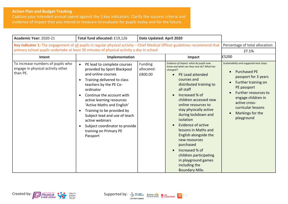## **Action Plan and Budget Tracking**

Capture your intended annual spend against the 5 key indicators. Clarify the success criteria and evidence of impact that you intend to measure to evaluate for pupils today and for the future.

| Academic Year: 2020-21                                                                                                       | Total fund allocated: £19,126                                                                                                                                                                                                                                                                                                                                                                                                      | Date Updated: April 2020         |                                                                                                                                                                                                                                                                                                                                                                                                                                                                                                                                    |                                                                                                                                                                                                                                                      |
|------------------------------------------------------------------------------------------------------------------------------|------------------------------------------------------------------------------------------------------------------------------------------------------------------------------------------------------------------------------------------------------------------------------------------------------------------------------------------------------------------------------------------------------------------------------------|----------------------------------|------------------------------------------------------------------------------------------------------------------------------------------------------------------------------------------------------------------------------------------------------------------------------------------------------------------------------------------------------------------------------------------------------------------------------------------------------------------------------------------------------------------------------------|------------------------------------------------------------------------------------------------------------------------------------------------------------------------------------------------------------------------------------------------------|
| Key indicator 1: The engagement of all pupils in regular physical activity - Chief Medical Officer guidelines recommend that |                                                                                                                                                                                                                                                                                                                                                                                                                                    | Percentage of total allocation:  |                                                                                                                                                                                                                                                                                                                                                                                                                                                                                                                                    |                                                                                                                                                                                                                                                      |
|                                                                                                                              | primary school pupils undertake at least 30 minutes of physical activity a day in school                                                                                                                                                                                                                                                                                                                                           |                                  |                                                                                                                                                                                                                                                                                                                                                                                                                                                                                                                                    | 27.1%                                                                                                                                                                                                                                                |
| Intent                                                                                                                       | Implementation                                                                                                                                                                                                                                                                                                                                                                                                                     |                                  | Impact                                                                                                                                                                                                                                                                                                                                                                                                                                                                                                                             | £5200                                                                                                                                                                                                                                                |
| To increase numbers of pupils who<br>engage in physical activity other<br>than PE.                                           | PE lead to complete courses<br>$\bullet$<br>provided by Sport Blackpool<br>and online courses<br>Training delivered to class<br>$\bullet$<br>teachers by the PE Co-<br>ordinator<br>Continue the account with<br>active learning resources<br>'Active Maths and English'<br>Training to be provided by<br>Subject lead and use of teach<br>active webinars<br>Subject coordinator to provide<br>training on Primary PE<br>Passport | Funding<br>allocated:<br>£800.00 | Evidence of impact: what do pupils now<br>know and what can they now do? What has<br>changed?:<br><b>PE Lead attended</b><br>courses and<br>distributed training to<br>all staff<br>Increased % of<br>children accessed new<br>online resources to<br>stay physically active<br>during lockdown and<br>isolation<br>Evidence of active<br>lessons in Maths and<br>English alongside the<br>new resources<br>purchased<br>Increased % of<br>children participating<br>in playground games<br>including the<br><b>Boundary Mile.</b> | Sustainability and suggested next steps:<br><b>Purchased PE</b><br>passport for 3 years<br>Further training on<br>PE passport<br>Further resources to<br>engage children in<br>active cross-<br>curricular lessons<br>Markings for the<br>playground |

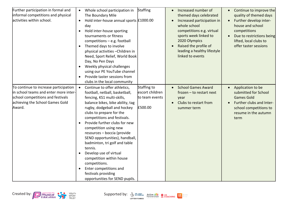| Further participation in formal and<br>informal competitions and physical<br>activities within school.                                                           | Whole school participation in<br>Staffing<br>$\bullet$<br>The Boundary Mile<br>Hold inter-house annual sports £1000.00<br>$\bullet$<br>day<br>Hold inter-house sporting<br>$\bullet$<br>tournaments or fitness<br>$competitions - e.g. football$<br>Themed days to involve<br>$\bullet$<br>physical activities - Children in<br>Need, Sport Relief, World Book<br>Day, No Pen Days<br>Weekly physical challenges<br>$\bullet$<br>using our PE YouTube channel<br>Provide taster sessions from<br>$\bullet$<br>clubs in the local community                                                                                                           | Increased number of<br>$\bullet$<br>themed days celebrated<br>Increased participation in<br>$\bullet$<br>whole school<br>competitions e.g. virtual<br>sports week linked to<br>2020 Olympics<br>Raised the profile of<br>$\bullet$<br>leading a healthy lifestyle<br>linked to events | Continue to improve the<br>$\bullet$<br>quality of themed days<br>Further develop inter-<br>$\bullet$<br>house and school<br>competitions<br>Due to restrictions being<br>$\bullet$<br>lifted, local clubs to<br>offer taster sessions |
|------------------------------------------------------------------------------------------------------------------------------------------------------------------|------------------------------------------------------------------------------------------------------------------------------------------------------------------------------------------------------------------------------------------------------------------------------------------------------------------------------------------------------------------------------------------------------------------------------------------------------------------------------------------------------------------------------------------------------------------------------------------------------------------------------------------------------|---------------------------------------------------------------------------------------------------------------------------------------------------------------------------------------------------------------------------------------------------------------------------------------|----------------------------------------------------------------------------------------------------------------------------------------------------------------------------------------------------------------------------------------|
| To continue to increase participation<br>in school teams and enter more inter-<br>school competitions and festivals<br>achieving the School Games Gold<br>Award. | Staffing to<br>Continue to offer athletics,<br>$\bullet$<br>escort children<br>football, netball, basketball,<br>fencing, KS1 multi-skills,<br>to team events<br>balance bikes, bike ability, tag<br>£500.00<br>rugby, dodgeball and hockey<br>clubs to prepare for the<br>competitions and festivals.<br>Provide further clubs for new<br>competition using new<br>resources - boccia (provide<br>SEND opportunities), handball,<br>badminton, tri golf and table<br>tennis.<br>Develop use of virtual<br>$\bullet$<br>competition within house<br>competitions.<br>Enter competitions and<br>festivals providing<br>opportunities for SEND pupils. | <b>School Games Award</b><br>$\bullet$<br>$frozen - to restart next$<br>year<br>Clubs to restart from<br>summer term                                                                                                                                                                  | Application to be<br>$\bullet$<br>submitted for School<br><b>Games Gold</b><br>Further clubs and Inter-<br>school competitions to<br>resume in the autumn<br>term                                                                      |

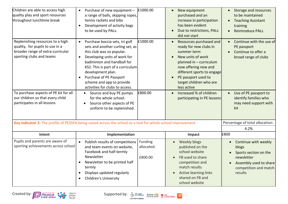| Children are able to access high<br>quality play and sport resources<br>throughout lunchtime break                                                                                                                                               | Purchase of new equipment -<br>$\bullet$<br>a range of balls, skipping ropes,<br>tennis rackets and bibs<br>Development of activity bags<br>to be used by PALs.                                                                                                                                                                                                                                                                                              | £1000.00                         | New equipment<br>$\bullet$<br>purchased and an<br>increase in participation<br>has been evident<br>Due to restrictions, PALs<br>$\bullet$<br>did not start                                                                                                                                                                                            | Storage and resources<br>$\bullet$<br>to be maintained<br><b>Teaching Assistant</b><br>$\bullet$<br>training<br><b>Reintroduce PALs</b>                                  |
|--------------------------------------------------------------------------------------------------------------------------------------------------------------------------------------------------------------------------------------------------|--------------------------------------------------------------------------------------------------------------------------------------------------------------------------------------------------------------------------------------------------------------------------------------------------------------------------------------------------------------------------------------------------------------------------------------------------------------|----------------------------------|-------------------------------------------------------------------------------------------------------------------------------------------------------------------------------------------------------------------------------------------------------------------------------------------------------------------------------------------------------|--------------------------------------------------------------------------------------------------------------------------------------------------------------------------|
| Replenishing resources to a high<br>quality, for pupils to use in a<br>broader range of extra-curricular<br>sporting clubs and teams<br>To purchase aspects of PE kit for all<br>our children so that every child<br>participates in all lessons | Purchase boccia sets, tri golf<br>$\bullet$<br>sets and another curling set, as<br>this club was so popular.<br>Developing units of work for<br>badminton and handball for<br>KS2. This is part of a curriculum<br>development plan.<br>Purchase of PE Passport<br>scheme and app to provide<br>activities for clubs to access.<br>Source and buy PE pumps<br>for the whole school.<br>Source other aspects of PE<br>$\bullet$<br>uniform to be replenished. | £1000.00<br>£800.00              | Resources purchased and<br>$\bullet$<br>ready for new clubs in<br>summer term<br>New units of work<br>$\bullet$<br>planned in - curriculum<br>now offering new and<br>different sports to engage<br>PE passport used to<br>$\bullet$<br>target children who are<br>less active<br>Increased % of children<br>$\bullet$<br>participating in PE lessons | Continue with the use of<br>PE passport<br>Continue to offer a<br>broad range of clubs<br>Use of PE passport to<br>identify families who<br>may need support with<br>kit |
| Key indicator 2: The profile of PESSPA being raised across the school as a tool for whole school improvement                                                                                                                                     |                                                                                                                                                                                                                                                                                                                                                                                                                                                              |                                  |                                                                                                                                                                                                                                                                                                                                                       | Percentage of total allocation:                                                                                                                                          |
|                                                                                                                                                                                                                                                  |                                                                                                                                                                                                                                                                                                                                                                                                                                                              |                                  |                                                                                                                                                                                                                                                                                                                                                       | 4.2%                                                                                                                                                                     |
| Intent                                                                                                                                                                                                                                           | Implementation                                                                                                                                                                                                                                                                                                                                                                                                                                               |                                  | Impact                                                                                                                                                                                                                                                                                                                                                | £800                                                                                                                                                                     |
| Pupils and parents are aware of<br>sporting achievements across school                                                                                                                                                                           | Publish results of competitions<br>$\bullet$<br>and team events on website,<br>Facebook and half-termly<br>Newsletter<br>Newsletter to be printed half<br>termly<br>Displays updated regularly<br>$\bullet$<br><b>Children's University</b><br>$\bullet$                                                                                                                                                                                                     | Funding<br>allocated:<br>£800.00 | Weekly blogs<br>$\bullet$<br>published on the<br>school website<br>FB used to share<br>competition and<br>match results<br><b>Active learning links</b><br>shared on FB and<br>school website                                                                                                                                                         | Continue with weekly<br>blogs<br>Sports section on the<br>newsletter<br>Assembly used to share<br>competition and match<br>results                                       |





dare people<br>dare active<br>dare often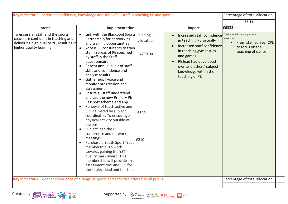| 33.1%<br>£6333<br>Intent<br>Implementation<br>Impact<br>To ensure all staff and the sports<br>Link with the Blackpool Sports Funding<br>Sustainability and suggested<br>• Increased staff confidence<br>coach are confident in teaching and<br>Partnership for networking<br>next steps:<br>allocated:<br>in teaching PE virtually<br>• From staff survey, CPL<br>delivering high quality PE, resulting in<br>and training opportunities<br>• Increased staff confidence<br>to focus on the<br>higher quality learning<br>Access PE consultants to train<br>$\bullet$<br>in teaching gymnastics<br>teaching of dance<br>staff in areas of PE specified<br>£4290.00<br>and games<br>by staff in the Staff<br>PE lead had developed<br>questionnaire<br>$\bullet$<br>Repeat annual audit of staff<br>$\bullet$<br>own and others' subject<br>skills and confidence and<br>knowledge within the<br>analyse results<br>teaching of PE<br>Gather pupil voice and<br>$\bullet$<br>monitor progression and<br>assessment<br>Ensure all staff understand<br>$\bullet$<br>and use the new Primary PE<br>Passport scheme and app.<br>Renewal of teach active and<br>$\bullet$<br>CPL delivered by subject<br>£699<br>coordinator. To encourage<br>physical activity outside of PE<br>lessons<br>Subject lead the PE<br>$\bullet$<br>conference and network<br>meetings.<br>£210<br>Purchase a Youth Sport Trust<br>$\bullet$ | Key indicator 3: Increased confidence, knowledge and skills of all staff in teaching PE and sport | Percentage of total allocation: |
|--------------------------------------------------------------------------------------------------------------------------------------------------------------------------------------------------------------------------------------------------------------------------------------------------------------------------------------------------------------------------------------------------------------------------------------------------------------------------------------------------------------------------------------------------------------------------------------------------------------------------------------------------------------------------------------------------------------------------------------------------------------------------------------------------------------------------------------------------------------------------------------------------------------------------------------------------------------------------------------------------------------------------------------------------------------------------------------------------------------------------------------------------------------------------------------------------------------------------------------------------------------------------------------------------------------------------------------------------------------------------------------------------------------------|---------------------------------------------------------------------------------------------------|---------------------------------|
|                                                                                                                                                                                                                                                                                                                                                                                                                                                                                                                                                                                                                                                                                                                                                                                                                                                                                                                                                                                                                                                                                                                                                                                                                                                                                                                                                                                                                    |                                                                                                   |                                 |
| towards gaining the YST<br>quality mark award. This<br>membership will provide an<br>assessment tool and CPL for<br>the subject lead and teachers.                                                                                                                                                                                                                                                                                                                                                                                                                                                                                                                                                                                                                                                                                                                                                                                                                                                                                                                                                                                                                                                                                                                                                                                                                                                                 | membership. To work                                                                               |                                 |

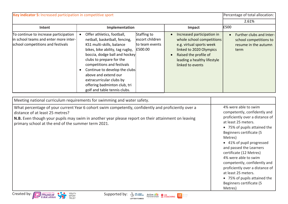| Key indicator 5: Increased participation in competitive sport                                                       |                                                                                                                                                                                                                                                                                                                                                                                          |                                                             |                                                                                                                                                                                            | Percentage of total allocation:                                                    |  |
|---------------------------------------------------------------------------------------------------------------------|------------------------------------------------------------------------------------------------------------------------------------------------------------------------------------------------------------------------------------------------------------------------------------------------------------------------------------------------------------------------------------------|-------------------------------------------------------------|--------------------------------------------------------------------------------------------------------------------------------------------------------------------------------------------|------------------------------------------------------------------------------------|--|
|                                                                                                                     |                                                                                                                                                                                                                                                                                                                                                                                          |                                                             |                                                                                                                                                                                            | 2.61%                                                                              |  |
| Intent                                                                                                              | Implementation                                                                                                                                                                                                                                                                                                                                                                           |                                                             | Impact                                                                                                                                                                                     | £500                                                                               |  |
| To continue to increase participation<br>in school teams and enter more inter-<br>school competitions and festivals | Offer athletics, football,<br>netball, basketball, fencing,<br>KS1 multi-skills, balance<br>bikes, bike ability, tag rugby,<br>boccia, dodge ball and hockey<br>clubs to prepare for the<br>competitions and festivals<br>Continue to develop the clubs<br>$\bullet$<br>above and extend our<br>extracurricular clubs by<br>offering badminton club, tri<br>golf and table tennis clubs. | Staffing to<br>escort children<br>to team events<br>E500.00 | Increased participation in<br>whole school competitions<br>e.g. virtual sports week<br>linked to 2020 Olympics<br>Raised the profile of<br>leading a healthy lifestyle<br>linked to events | Further clubs and Inter-<br>school competitions to<br>resume in the autumn<br>term |  |

| Meeting national curriculum requirements for swimming and water safety.                                                                                                                                                                                                                            |                                                                                                                                                                                                                                                                                                                                                                                                                                                                   |
|----------------------------------------------------------------------------------------------------------------------------------------------------------------------------------------------------------------------------------------------------------------------------------------------------|-------------------------------------------------------------------------------------------------------------------------------------------------------------------------------------------------------------------------------------------------------------------------------------------------------------------------------------------------------------------------------------------------------------------------------------------------------------------|
| What percentage of your current Year 6 cohort swim competently, confidently and proficiently over a<br>distance of at least 25 metres?<br>N.B. Even though your pupils may swim in another year please report on their attainment on leaving<br>primary school at the end of the summer term 2021. | 4% were able to swim<br>competently, confidently and<br>proficiently over a distance of<br>at least 25 meters.<br>• 75% of pupils attained the<br>Beginners certificate (5<br>Metres)<br>• 41% of pupil progressed<br>and passed the Learners<br>certificate (12 Metres)<br>4% were able to swim<br>competently, confidently and<br>proficiently over a distance of<br>at least 25 meters.<br>• 75% of pupils attained the<br>Beginners certificate (5<br>Metres) |